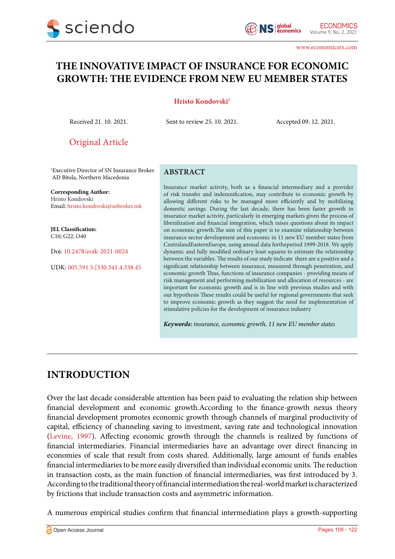# **THE INNOVATIVE IMPACT OF INSURANCE FOR ECONOMIC GROWTH: THE EVIDENCE FROM NEW EU MEMBER STATES**

#### **Hristo Kondovski1**

Received 21. 10. 2021. Sent to review 25. 10. 2021. Accepted 09. 12. 2021.

Original Article

1 Executive Director of SN Insurance Broker AD Bitola, Northern Macedonia

**Corresponding Author:** Hristo Kondovski Email: hristo.kondovski@snbroker.mk

**JEL Classification:** C10; G22; O40

Doi: 10.2478/eoik-2021-0024

UDK: 005.591.5:[330.341.4:338.45

#### **ABSTRACT**

Insurance market activity, both as a financial intermediary and a provider of risk transfer and indemnification, may contribute to economic growth by allowing different risks to be managed more efficiently and by mobilizing domestic savings. During the last decade, there has been faster growth in insurance market activity, particularly in emerging markets given the process of liberalization and financial integration, which raises questions about its impact on economic growth.The aim of this paper is to examine relationship between insurance sector development and economic in 11 new EU member states from CentralandEasternEurope, using annual data fortheperiod 1999-2018. We apply dynamic and fully modified ordinary least squares to estimate the relationship between the variables. The results of our study indicate there are a positive and a significant relationship between insurance, measured through penetration, and economic growth Thus, functions of insurance companies - providing means of risk management and performing mobilization and allocation of resources - are important for economic growth and is in line with previous studies and with our hypothesis These results could be useful for regional governments that seek to improve economic growth as they suggest the need for implementation of stimulative policies for the development of insurance industry

*Keywords: insurance, economic growth, 11 new EU member states*

# **INTRODUCTION**

Over the last decade considerable attention has been paid to evaluating the relation ship between financial development and economic growth.According to the finance-growth nexus theory financial development promotes economic growth through channels of marginal productivity of capital, efficiency of channeling saving to investment, saving rate and technological innovation [\(Levine, 1997](#page-11-0)). Affecting economic growth through the channels is realized by functions of financial intermediaries. Financial intermediaries have an advantage over direct financing in economies of scale that result from costs shared. Additionally, large amount of funds enables financial intermediaries to be more easily diversified than individual economic units. The reduction in transaction costs, as the main function of financial intermediaries, was first introduced by 3. According to the traditional theory of financial intermediation the real-world market is characterized by frictions that include transaction costs and asymmetric information.

А numerous empirical studies confirm that financial intermediation plays a growth-supporting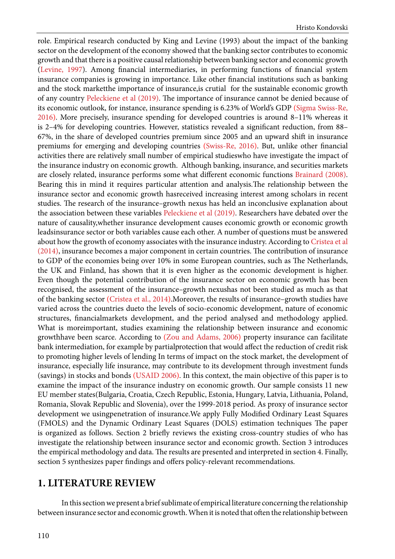role. Empirical research conducted by King and Levine (1993) about the impact of the banking sector on the development of the economy showed that the banking sector contributes to economic growth and that there is a positive causal relationship between banking sector and economic growth ([Levine, 1997](#page-11-0)). Among financial intermediaries, in performing functions of financial system insurance companies is growing in importance. Like other financial institutions such as banking and the stock marketthe importance of insurance,is crutial for the sustainable economic growth of any country [Peleckiene et al \(2019\)](#page-12-0). The importance of insurance cannot be denied because of its economic outlook, for instance, insurance spending is 6.23% of World's GDP ([Sigma Swiss-Re,](#page-12-0) [2016\)](#page-12-0). More precisely, insurance spending for developed countries is around 8–11% whereas it is 2–4% for developing countries. However, statistics revealed a significant reduction, from 88– 67%, in the share of developed countries premium since 2005 and an upward shift in insurance premiums for emerging and developing countries ([Swiss-Re, 2016](#page-12-0)). But, unlike other financial activities there are relatively small number of empirical studieswho have investigate the impact of the insurance industry on economic growth. Although banking, insurance, and securities markets are closely related, insurance performs some what different economic functions [Brainard \(2008\).](#page-11-0) Bearing this in mind it requires particular attention and analysis.The relationship between the insurance sector and economic growth hasreceived increasing interest among scholars in recent studies. The research of the insurance–growth nexus has held an inconclusive explanation about the association between these variables [Peleckiene et al \(2019\)](#page-12-0). Researchers have debated over the nature of causality,whether insurance development causes economic growth or economic growth leadsinsurance sector or both variables cause each other. A number of questions must be answered about how the growth of economy associates with the insurance industry. According to [Cristea et al](#page-11-0) [\(2014\)](#page-11-0), insurance becomes a major component in certain countries. The contribution of insurance to GDP of the economies being over 10% in some European countries, such as The Netherlands, the UK and Finland, has shown that it is even higher as the economic development is higher. Even though the potential contribution of the insurance sector on economic growth has been recognised, the assessment of the insurance–growth nexushas not been studied as much as that of the banking sector [\(Cristea et al., 2014](#page-11-0)).Moreover, the results of insurance–growth studies have varied across the countries dueto the levels of socio-economic development, nature of economic structures, financialmarkets development, and the period analysed and methodology applied. What is moreimportant, studies examining the relationship between insurance and economic growthhave been scarce. According to ([Zou and Adams, 2006](#page-12-0)) property insurance can facilitate bank intermediation, for example by partialprotection that would affect the reduction of credit risk to promoting higher levels of lending In terms of impact on the stock market, the development of insurance, especially life insurance, may contribute to its development through investment funds (savings) in stocks and bonds ([USAID 2006](#page-11-0)). In this context, the main objective of this paper is to examine the impact of the insurance industry on economic growth. Our sample consists 11 new EU member states(Bulgaria, Croatia, Czech Republic, Estonia, Hungary, Latvia, Lithuania, Poland, Romania, Slovak Republic and Slovenia), over the 1999-2018 period. As proxy of insurance sector development we usingpenetration of insurance.We apply Fully Modified Ordinary Least Squares (FMOLS) and the Dynamic Ordinary Least Squares (DOLS) estimation techniques The paper is organized as follows. Section 2 briefly reviews the existing cross-country studies of who has investigate the relationship between insurance sector and economic growth. Section 3 introduces the empirical methodology and data. The results are presented and interpreted in section 4. Finally, section 5 synthesizes paper findings and offers policy-relevant recommendations.

### **1. LITERATURE REVIEW**

In this section we present a brief sublimate of empirical literature concerning the relationship between insurance sector and economic growth. When it is noted that often the relationship between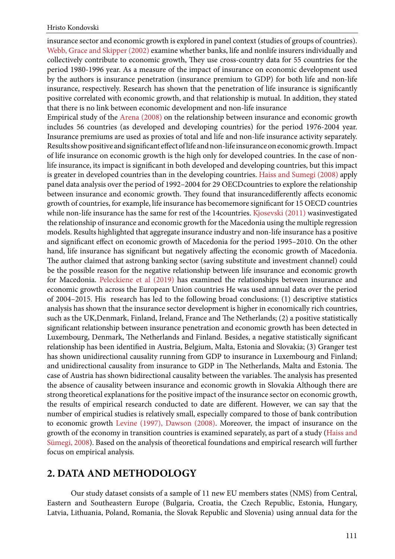insurance sector and economic growth is explored in panel context (studies of groups of countries). [Webb, Grace and Skipper \(2002\)](#page-12-0) examine whether banks, life and nonlife insurers individually and collectively contribute to economic growth, They use cross-country data for 55 countries for the period 1980-1996 year. As a measure of the impact of insurance on economic development used by the authors is insurance penetration (insurance premium to GDP) for both life and non-life insurance, respectively. Research has shown that the penetration of life insurance is significantly positive correlated with economic growth, and that relationship is mutual. In addition, they stated that there is no link between economic development and non-life insurance

Empirical study of the [Arena \(2008\)](#page-11-0) on the relationship between insurance and economic growth includes 56 countries (as developed and developing countries) for the period 1976-2004 year. Insurance premiums are used as proxies of total and life and non-life insurance activity separately. Results show positive and significant effect of life and non-life insurance on economic growth. Impact of life insurance on economic growth is the high only for developed countries. In the case of nonlife insurance, its impact is significant in both developed and developing countries, but this impact is greater in developed countries than in the developing countries. [Haiss and Sumegi \(2008\)](#page-11-0) apply panel data analysis over the period of 1992–2004 for 29 OECDcountries to explore the relationship between insurance and economic growth. They found that insurancedifferently affects economic growth of countries, for example, life insurance has becomemore significant for 15 OECD countries while non-life insurance has the same for rest of the 14countries. [Kjosevski \(2011\)](#page-11-0) wasinvestigated the relationship of insurance and economic growth for the Macedonia using the multiple regression models. Results highlighted that aggregate insurance industry and non-life insurance has a positive and significant effect on economic growth of Macedonia for the period 1995–2010. On the other hand, life insurance has significant but negatively affecting the economic growth of Macedonia. The author claimed that astrong banking sector (saving substitute and investment channel) could be the possible reason for the negative relationship between life insurance and economic growth for Macedonia. [Peleckiene et al \(2019\)](#page-12-0) has examined the relationships between insurance and economic growth across the European Union countries He was used annual data over the period of 2004–2015. His research has led to the following broad conclusions: (1) descriptive statistics analysis has shown that the insurance sector development is higher in economically rich countries, such as the UK,Denmark, Finland, Ireland, France and The Netherlands; (2) a positive statistically significant relationship between insurance penetration and economic growth has been detected in Luxembourg, Denmark, The Netherlands and Finland. Besides, a negative statistically significant relationship has been identified in Austria, Belgium, Malta, Estonia and Slovakia; (3) Granger test has shown unidirectional causality running from GDP to insurance in Luxembourg and Finland; and unidirectional causality from insurance to GDP in The Netherlands, Malta and Estonia. The case of Austria has shown bidirectional causality between the variables. The analysis has presented the absence of causality between insurance and economic growth in Slovakia Although there are strong theoretical explanations for the positive impact of the insurance sector on economic growth, the results of empirical research conducted to date are different. However, we can say that the number of empirical studies is relatively small, especially compared to those of bank contribution to economic growth [Levine \(1997\), Dawson \(2008\)](#page-11-0). Moreover, the impact of insurance on the growth of the economy in transition countries is examined separately, as part of a study [\(Haiss and](#page-11-0)  [Sümegi, 2008\)](#page-11-0). Based on the analysis of theoretical foundations and empirical research will further focus on empirical analysis.

## **2. DATA AND METHODOLOGY**

Our study dataset consists of a sample of 11 new EU members states (NMS) from Central, Eastern and Southeastern Europe (Bulgaria, Croatia, the Czech Republic, Estonia, Hungary, Latvia, Lithuania, Poland, Romania, the Slovak Republic and Slovenia) using annual data for the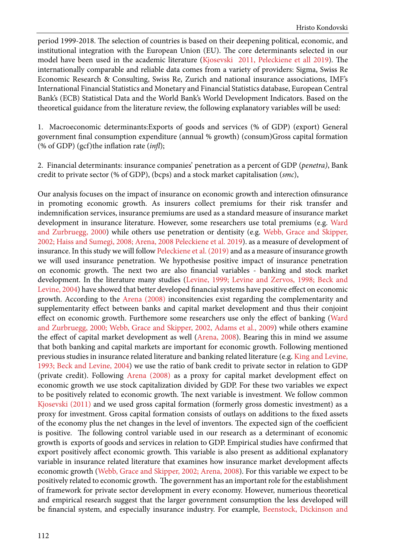period 1999-2018. The selection of countries is based on their deepening political, economic, and institutional integration with the European Union (EU). The core determinants selected in our model have been used in the academic literature [\(Kjosevski 2011](#page-11-0), [Peleckiene et all 2019](#page-12-0)). The internationally comparable and reliable data comes from a variety of providers: Sigma, Swiss Re Economic Research & Consulting, Swiss Re, Zurich and national insurance associations, IMF's International Financial Statistics and Monetary and Financial Statistics database, European Central Bank's (ECB) Statistical Data and the World Bank's World Development Indicators. Based on the theoretical guidance from the literature review, the following explanatory variables will be used:

1. Macroeconomic determinants:Exports of goods and services (% of GDP) (export) General government final consumption expenditure (annual % growth) (consum)Gross capital formation (% of GDP) (gcf)the inflation rate (*infl*);

2. Financial determinants: insurance companies' penetration as a percent of GDP (*penetra)*, Bank credit to private sector (% of GDP), (bcps) and a stock market capitalisation (*smc*),

Our analysis focuses on the impact of insurance on economic growth and interection ofinsurance in promoting economic growth. As insurers collect premiums for their risk transfer and indemnification services, insurance premiums are used as a standard measure of insurance market development in insurance literature. However, some researchers use total premiums (e.g. [Ward](#page-12-0) [and Zurbruegg, 2000\)](#page-12-0) while others use penetration or dentisity (e.g. [Webb, Grace and Skipper,](#page-12-0) [2002;](#page-12-0) [Haiss and Sumegi, 2008](#page-11-0); [Arena, 2008](#page-11-0) [Peleckiene et al. 2019](#page-12-0)). as a measure of development of insurance. In this study we will follow [Peleckiene et al. \(2019\)](#page--1-0) and as a measure of insurance growth we will used insurance penetration. We hypothesise positive impact of insurance penetration on economic growth. The next two are also financial variables - banking and stock market development. In the literature many studies ([Levine, 1999;](#page-11-0) [Levine and Zervos, 1998;](#page-11-0) [Beck and](#page-11-0) [Levine, 2004\)](#page-11-0) have showed that better developed financial systems have positive effect on economic growth. According to the [Arena \(2008\)](#page-11-0) inconsitencies exist regarding the complementarity and supplementarity effect between banks and capital market development and thus their conjoint effect on economic growth. Furthemore some researchers use only the effect of banking [\(Ward](#page-12-0) [and Zurbruegg, 2000;](#page-12-0) [Webb, Grace and Skipper, 2002,](#page-12-0) [Adams et al., 2009](#page-11-0)) while others examine the effect of capital market development as well [\(Arena, 2008](#page--1-0)). Bearing this in mind we assume that both banking and capital markets are important for economic growth. Following mentioned previous studies in insurance related literature and banking related literature (e.g. [King and Levine,](#page-11-0) [1993;](#page-11-0) [Beck and Levine, 2004\)](#page-11-0) we use the ratio of bank credit to private sector in relation to GDP (private credit). Following [Arena \(2008\)](#page-11-0) as a proxy for capital market development effect on economic growth we use stock capitalization divided by GDP. For these two variables we expect to be positively related to economic growth. The next variable is investment. We follow common [Kjosevski \(2011\)](#page-11-0) and we used gross capital formation (formerly gross domestic investment) as a proxy for investment. Gross capital formation consists of outlays on additions to the fixed assets of the economy plus the net changes in the level of inventors. The expected sign of the coefficient is positive. The following control variable used in our research as a determinant of economic growth is exports of goods and services in relation to GDP. Empirical studies have confirmed that export positively affect economic growth. This variable is also present as additional explanatory variable in insurance related literature that examines how insurance market development affects economic growth ([Webb, Grace and Skipper, 2002;](#page-12-0) [Arena, 2008\)](#page-11-0). For this variable we expect to be positively related to economic growth. The government has an important role for the establishment of framework for private sector development in every economy. However, numerious theoretical and empirical research suggest that the larger government consumption the less developed will be financial system, and especially insurance industry. For example, [Beenstock, Dickinson and](#page-11-0)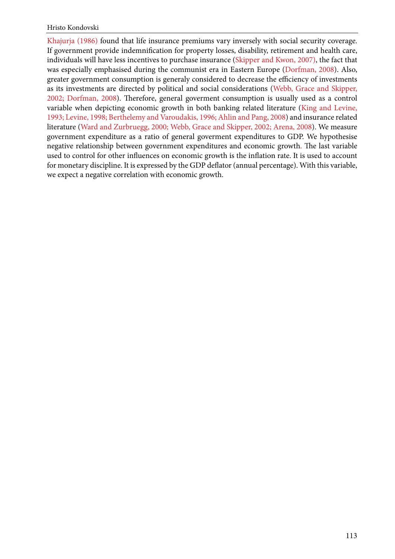[Khajurja \(1986\)](#page-11-0) found that life insurance premiums vary inversely with social security coverage. If government provide indemnification for property losses, disability, retirement and health care, individuals will have less incentives to purchase insurance ([Skipper and Kwon, 2007\),](#page-12-0) the fact that was especially emphasised during the communist era in Eastern Europe ([Dorfman, 2008\)](#page-11-0). Also, greater government consumption is generaly considered to decrease the efficiency of investments as its investments are directed by political and social considerations ([Webb, Grace and Skipper,](#page-12-0)  [2002;](#page-12-0) [Dorfman, 2008\)](#page-11-0). Therefore, general goverment consumption is usually used as a control variable when depicting economic growth in both banking related literature [\(King and Levine,](#page-11-0)  [1993;](#page-11-0) [Levine, 1998;](#page-11-0) [Berthelemy and Varoudakis, 1996;](#page-11-0) [Ahlin and Pang, 2008\)](#page-11-0) and insurance related literature [\(Ward and Zurbruegg, 2000;](#page-12-0) [Webb, Grace and Skipper, 2002;](#page-12-0) [Arena, 2008](#page-11-0)). We measure government expenditure as a ratio of general goverment expenditures to GDP. We hypothesise negative relationship between government expenditures and economic growth. The last variable used to control for other influences on economic growth is the inflation rate. It is used to account for monetary discipline. It is expressed by the GDP deflator (annual percentage). With this variable, we expect a negative correlation with economic growth.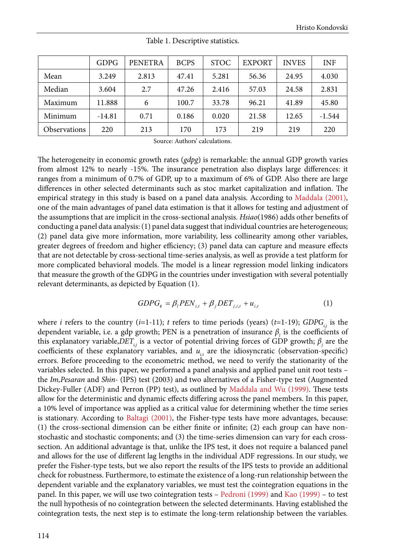|              | <b>GDPG</b> | <b>PENETRA</b> | <b>BCPS</b> | <b>STOC</b> | <b>EXPORT</b> | <b>INVES</b> | <b>INF</b> |
|--------------|-------------|----------------|-------------|-------------|---------------|--------------|------------|
| Mean         | 3.249       | 2.813          | 47.41       | 5.281       | 56.36         | 24.95        | 4.030      |
| Median       | 3.604       | 2.7            | 47.26       | 2.416       | 57.03         | 24.58        | 2.831      |
| Maximum      | 11.888      | 6              | 100.7       | 33.78       | 96.21         | 41.89        | 45.80      |
| Minimum      | $-14.81$    | 0.71           | 0.186       | 0.020       | 21.58         | 12.65        | $-1.544$   |
| Observations | 220         | 213            | 170         | 173         | 219           | 219          | 220        |

Table 1. Descriptive statistics.

Source: Authors' calculations.

The heterogeneity in economic growth rates (*gdpg*) is remarkable: the annual GDP growth varies from almost 12% to nearly -15%. The insurance penetration also displays large differences: it ranges from a minimum of 0.7% of GDP, up to a maximum of 6% of GDP. Also there are large differences in other selected determinants such as stoc market capitalization and inflation. The empirical strategy in this study is based on a panel data analysis. According to [Maddala \(2001\),](#page-11-0) one of the main advantages of panel data estimation is that it allows for testing and adjustment of the assumptions that are implicit in the cross-sectional analysis. *Hsiao*(1986) adds other benefits of conducting a panel data analysis: (1) panel data suggest that individual countries are heterogeneous; (2) panel data give more information, more variability, less collinearity among other variables, greater degrees of freedom and higher efficiency; (3) panel data can capture and measure effects that are not detectable by cross-sectional time-series analysis, as well as provide a test platform for more complicated behavioral models. The model is a linear regression model linking indicators that measure the growth of the GDPG in the countries under investigation with several potentially relevant determinants, as depicted by Equation (1).

$$
GDPG_i = \beta_l PEN_{i,t} + \beta_j DET_{j,i,t} + u_{i,t}
$$
 (1)

where *i* refers to the country ( $i=1-11$ ); *t* refers to time periods (years) ( $t=1-19$ ); *GDPG*<sub> $ii$ </sub> is the dependent variable, i.e. a gdp growth; PEN is a penetration of insurance  $\beta$ , is the coefficients of this explanatory variable, $DET_{_{i,j}}$  is a vector of potential driving forces of GDP growth;  $\beta_{_j}$  are the coefficients of these explanatory variables, and  $u_{i}$  are the idiosyncratic (observation-specific) errors. Before proceeding to the econometric method, we need to verify the stationarity of the variables selected. In this paper, we performed a panel analysis and applied panel unit root tests – the *Im,Pesaran* and *Shin-* (IPS) test (2003) and two alternatives of a Fisher-type test (Augmented Dickey-Fuller (ADF) and Perron (PP) test), as outlined by [Maddala and Wu \(1999\).](#page-11-0) These tests allow for the deterministic and dynamic effects differing across the panel members. In this paper, a 10% level of importance was applied as a critical value for determining whether the time series is stationary. According to [Baltagi \(2001\)](#page-11-0), the Fisher-type tests have more advantages, because: (1) the cross-sectional dimension can be either finite or infinite; (2) each group can have nonstochastic and stochastic components; and (3) the time-series dimension can vary for each crosssection. An additional advantage is that, unlike the IPS test, it does not require a balanced panel and allows for the use of different lag lengths in the individual ADF regressions. In our study, we prefer the Fisher-type tests, but we also report the results of the IPS tests to provide an additional check for robustness. Furthermore, to estimate the existence of a long-run relationship between the dependent variable and the explanatory variables, we must test the cointegration equations in the panel. In this paper, we will use two cointegration tests – [Pedroni \(1999\)](#page-12-0) and [Kao \(1999\)](#page-11-0) – to test the null hypothesis of no cointegration between the selected determinants. Having established the cointegration tests, the next step is to estimate the long-term relationship between the variables.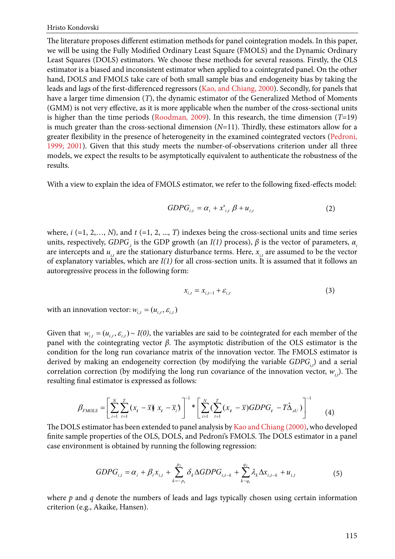The literature proposes different estimation methods for panel cointegration models. In this paper, we will be using the Fully Modified Ordinary Least Square (FMOLS) and the Dynamic Ordinary Least Squares (DOLS) estimators. We choose these methods for several reasons. Firstly, the OLS estimator is a biased and inconsistent estimator when applied to a cointegrated panel. On the other hand, DOLS and FMOLS take care of both small sample bias and endogeneity bias by taking the leads and lags of the first-differenced regressors ([Kao, and Chiang, 2000](#page-11-0)). Secondly, for panels that have a larger time dimension (*T*), the dynamic estimator of the Generalized Method of Moments (GMM) is not very effective, as it is more applicable when the number of the cross-sectional units is higher than the time periods ([Roodman](#page-12-0)*,* 2009). In this research, the time dimension (*T*=19) is much greater than the cross-sectional dimension (*N*=11). Thirdly, these estimators allow for a greater flexibility in the presence of heterogeneity in the examined cointegrated vectors ([Pedroni,](#page-12-0)  [1999; 2001](#page-12-0)). Given that this study meets the number-of-observations criterion under all three models, we expect the results to be asymptotically equivalent to authenticate the robustness of the results.

With a view to explain the idea of FMOLS estimator, we refer to the following fixed-effects model:

$$
GDPG_{i,t} = \alpha_i + x'_{i,t} \beta + u_{i,t} \tag{2}
$$

where,  $i$  (=1, 2,..., *N*), and  $t$  (=1, 2, ..., *T*) indexes being the cross-sectional units and time series units, respectively, *GDPG*, is the GDP growth (an  $I(1)$  process),  $\beta$  is the vector of parameters,  $\alpha_i$ are intercepts and  $u_{i}$  are the stationary disturbance terms. Here,  $x_{i}$  are assumed to be the vector of explanatory variables, which are *I(1)* for all cross-section units. It is assumed that it follows an autoregressive process in the following form:

$$
x_{i,t} = x_{i,t-1} + \varepsilon_{i,t} \tag{3}
$$

with an innovation vector:  $w_{i,t} = (u_{i,t}, \varepsilon_{i,t})$ 

Given that  $w_{i,t} = (u_{i,t}, \varepsilon_{i,t}) \sim I(0)$ , the variables are said to be cointegrated for each member of the panel with the cointegrating vector *β*. The asymptotic distribution of the OLS estimator is the condition for the long run covariance matrix of the innovation vector. The FMOLS estimator is derived by making an endogeneity correction (by modifying the variable *GDPG<sub>i</sub>*) and a serial correlation correction (by modifying the long run covariance of the innovation vector,  $w_{i,t}$ ). The resulting final estimator is expressed as follows:

$$
\beta_{FMOLS} = \left[ \sum_{i=1}^{N} \sum_{t=1}^{T} \left( x_i - \overline{x} \right) x_i - \overline{x}_i \right)^{-1} * \left[ \sum_{i=1}^{N} \left( \sum_{t=1}^{T} \left( x_i - \overline{x} \right) GDPG_t - T \hat{\Delta}_{\varepsilon U} \right) \right]^{-1} \tag{4}
$$

The DOLS estimator has been extended to panel analysis by [Kao and Chiang \(2000\)](#page-11-0), who developed finite sample properties of the OLS, DOLS, and Pedroni's FMOLS. The DOLS estimator in a panel case environment is obtained by running the following regression:

$$
GDPG_{i,t} = \alpha_i + \beta_i x_{i,t} + \sum_{k=-p_1}^{p_2} \delta_k \Delta GDPG_{i,t-k} + \sum_{k=q_1}^{q_2} \lambda_k \Delta x_{i,t-k} + u_{i,t}
$$
(5)

where *p* and *q* denote the numbers of leads and lags typically chosen using certain information criterion (e.g., Akaike, Hansen).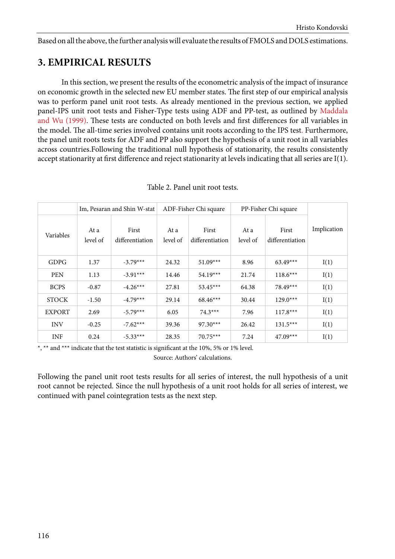Based on all the above, the further analysis will evaluate the results of FMOLS and DOLS estimations.

# **3. EMPIRICAL RESULTS**

In this section, we present the results of the econometric analysis of the impact of insurance on economic growth in the selected new EU member states. The first step of our empirical analysis was to perform panel unit root tests. As already mentioned in the previous section, we applied panel-IPS unit root tests and Fisher-Type tests using ADF and PP-test, as outlined by [Maddala](#page-11-0) [and Wu \(1999\)](#page-11-0). These tests are conducted on both levels and first differences for all variables in the model. The all-time series involved contains unit roots according to the IPS test. Furthermore, the panel unit roots tests for ADF and PP also support the hypothesis of a unit root in all variables across countries.Following the traditional null hypothesis of stationarity, the results consistently accept stationarity at first difference and reject stationarity at levels indicating that all series are I(1).

|               | Im, Pesaran and Shin W-stat |                          | ADF-Fisher Chi square |                          | PP-Fisher Chi square |                          |             |
|---------------|-----------------------------|--------------------------|-----------------------|--------------------------|----------------------|--------------------------|-------------|
| Variables     | At a<br>level of            | First<br>differentiation | At a<br>level of      | First<br>differentiation | At a<br>level of     | First<br>differentiation | Implication |
| <b>GDPG</b>   | 1.37                        | $-3.79***$               | 24.32                 | $51.09***$               | 8.96                 | $63.49***$               | I(1)        |
| <b>PEN</b>    | 1.13                        | $-3.91***$               | 14.46                 | $54.19***$               | 21.74                | $118.6***$               | I(1)        |
| <b>BCPS</b>   | $-0.87$                     | $-4.26***$               | 27.81                 | $53.45***$               | 64.38                | 78.49***                 | I(1)        |
| <b>STOCK</b>  | $-1.50$                     | $-4.79***$               | 29.14                 | $68.46***$               | 30.44                | $129.0***$               | I(1)        |
| <b>EXPORT</b> | 2.69                        | $-5.79***$               | 6.05                  | $74.3***$                | 7.96                 | $117.8***$               | I(1)        |
| <b>INV</b>    | $-0.25$                     | $-7.62***$               | 39.36                 | $97.30***$               | 26.42                | $131.5***$               | I(1)        |
| <b>INF</b>    | 0.24                        | $-5.33***$               | 28.35                 | $70.75***$               | 7.24                 | $47.09***$               | I(1)        |

Table 2. Panel unit root tests.

\*, \*\* and \*\*\* indicate that the test statistic is significant at the 10%, 5% or 1% level.

Source: Authors' calculations.

Following the panel unit root tests results for all series of interest, the null hypothesis of a unit root cannot be rejected. Since the null hypothesis of a unit root holds for all series of interest, we continued with panel cointegration tests as the next step.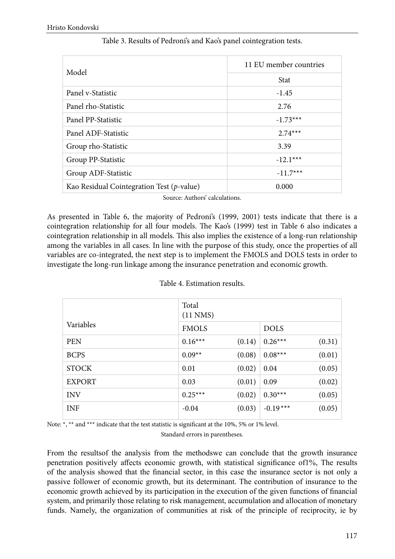| Model                                        | 11 EU member countries |  |  |  |
|----------------------------------------------|------------------------|--|--|--|
|                                              | <b>Stat</b>            |  |  |  |
| Panel v-Statistic                            | $-1.45$                |  |  |  |
| Panel rho-Statistic                          | 2.76                   |  |  |  |
| Panel PP-Statistic                           | $-1.73***$             |  |  |  |
| Panel ADF-Statistic                          | $2.74***$              |  |  |  |
| Group rho-Statistic                          | 3.39                   |  |  |  |
| Group PP-Statistic                           | $-12.1***$             |  |  |  |
| Group ADF-Statistic                          | $-11.7***$             |  |  |  |
| Kao Residual Cointegration Test $(p$ -value) | 0.000                  |  |  |  |

### Table 3. Results of Pedroni's and Kao's panel cointegration tests.

Source: Authors' calculations.

As presented in Table 6, the majority of Pedroni's (1999, 2001) tests indicate that there is a cointegration relationship for all four models. The Kao's (1999) test in Table 6 also indicates a cointegration relationship in all models. This also implies the existence of a long-run relationship among the variables in all cases. In line with the purpose of this study, once the properties of all variables are co-integrated, the next step is to implement the FMOLS and DOLS tests in order to investigate the long-run linkage among the insurance penetration and economic growth.

|               | Total<br>$(11$ NMS $)$ |        |             |        |  |  |
|---------------|------------------------|--------|-------------|--------|--|--|
| Variables     | <b>FMOLS</b>           |        | <b>DOLS</b> |        |  |  |
| <b>PEN</b>    | $0.16***$              | (0.14) | $0.26***$   | (0.31) |  |  |
| <b>BCPS</b>   | $0.09**$               | (0.08) | $0.08***$   | (0.01) |  |  |
| <b>STOCK</b>  | 0.01                   | (0.02) | 0.04        | (0.05) |  |  |
| <b>EXPORT</b> | 0.03                   | (0.01) | 0.09        | (0.02) |  |  |
| <b>INV</b>    | $0.25***$              | (0.02) | $0.30***$   | (0.05) |  |  |
| <b>INF</b>    | $-0.04$                | (0.03) | $-0.19***$  | (0.05) |  |  |

#### Table 4. Estimation results.

Note: \*, \*\* and \*\*\* indicate that the test statistic is significant at the 10%, 5% or 1% level.

Standard errors in parentheses.

From the resultsof the analysis from the methodswe can conclude that the growth insurance penetration positively affects economic growth, with statistical significance of1%, The results of the analysis showed that the financial sector, in this case the insurance sector is not only a passive follower of economic growth, but its determinant. The contribution of insurance to the economic growth achieved by its participation in the execution of the given functions of financial system, and primarily those relating to risk management, accumulation and allocation of monetary funds. Namely, the organization of communities at risk of the principle of reciprocity, ie by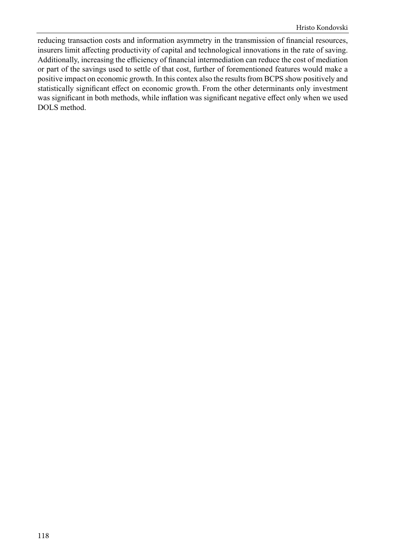reducing transaction costs and information asymmetry in the transmission of financial resources, insurers limit affecting productivity of capital and technological innovations in the rate of saving. Additionally, increasing the efficiency of financial intermediation can reduce the cost of mediation or part of the savings used to settle of that cost, further of forementioned features would make a positive impact on economic growth. In this contex also the results from BCPS show positively and statistically significant effect on economic growth. From the other determinants only investment was significant in both methods, while inflation was significant negative effect only when we used DOLS method.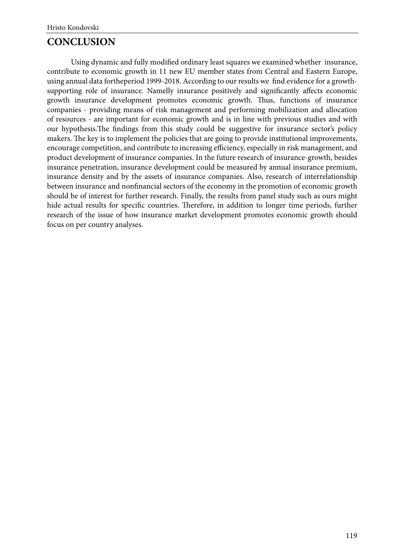## **CONCLUSION**

Using dynamic and fully modified ordinary least squares we examined whether insurance, contribute to economic growth in 11 new EU member states from Central and Eastern Europe, using annual data fortheperiod 1999-2018. According to our results we find evidence for a growthsupporting role of insurance. Namelly insurance positively and significantly affects economic growth insurance development promotes economic growth. Thus, functions of insurance companies - providing means of risk management and performing mobilization and allocation of resources - are important for economic growth and is in line with previous studies and with our hypothesis.The findings from this study could be suggestive for insurance sector's policy makers. The key is to implement the policies that are going to provide institutional improvements, encourage competition, and contribute to increasing efficiency, especially in risk management, and product development of insurance companies. In the future research of insurance-growth, besides insurance penetration, insurance development could be measured by annual insurance premium, insurance density and by the assets of insurance companies. Also, research of interrelationship between insurance and nonfinancial sectors of the economy in the promotion of economic growth should be of interest for further research. Finally, the results from panel study such as ours might hide actual results for specific countries. Therefore, in addition to longer time periods, further research of the issue of how insurance market development promotes economic growth should focus on per country analyses.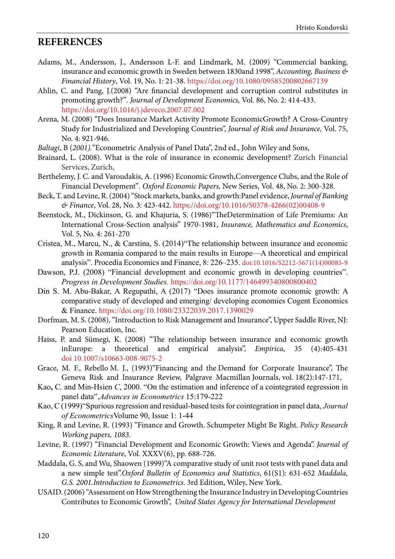### <span id="page-11-0"></span>**REFERENCES**

- Adams, M., Andersson, J., Andersson L-F. and Lindmark, M. (2009) "Commercial banking, insurance and economic growth in Sweden between 1830and 1998", *Accounting, Business & Financial History*, Vol. 19, No. 1: 21-38. <https://doi.org/10.1080/09585200802667139>
- Ahlin, C. and Pang, J.(2008) "Are financial development and corruption control substitutes in promoting growth?"*. Journal of Development Economics,* Vol. 86, No. 2: 414-433. <https://doi.org/10.1016/j.jdeveco.2007.07.002>
- Arena, M. (2008) "Does Insurance Market Activity Promote EconomicGrowth? A Cross-Country Study for Industrialized and Developing Countries", *Journal of Risk and Insurance,* Vol. 75, No. 4: 921-946.
- *Baltagi*, B (*2001).*"Econometric Analysis of Panel Data", 2nd ed., John Wiley and Sons,
- Brainard, L. (2008). What is the role of insurance in economic development? Zurich Financial Services, Zurich,
- Berthelemy, J. C. and Varoudakis, A. (1996) Economic Growth,Convergence Clubs, and the Role of Financial Development"*. Oxford Economic Papers,* New Series, Vol. 48, No. 2: 300-328.
- Beck, T. and Levine, R. (2004) "Stock markets, banks, and growth:Panel evidence, *Journal of Banking & Finance*, Vol. 28, No. 3: 423-442. [https://doi.org/10.1016/S0378-4266\(02\)00408-9](https://doi.org/10.1016/S0378-4266(02)00408-9)
- Beenstock, M., Dickinson, G. and Khajuria, S. (1986)"TheDetermination of Life Premiums: An International Cross-Section analysis" 1970-1981, *Insurance, Mathematics and Economics*, Vol. 5, No. 4: 261-270
- Cristea, M., Marcu, N., & Carstina, S. (2014)"The relationship between insurance and economic growth in Romania compared to the main results in Europe—A theoretical and empirical analysis". Procedia Economics and Finance, 8: 226–235. doi[:10.1016/S2212-5671\(14\)00085-9](http://dx.doi.org/10.1016/S2212-5671(14)00085-9)
- Dawson, P.J. (2008) "Financial development and economic growth in developing countries". *Progress in Development Studies.* [https://doi.org/10.1177/146499340800800402](https://doi.org/10.1177%2F146499340800800402)
- Din S. M. Abu-Bakar, A Regupathi, A (2017) "Does insurance promote economic growth: A comparative study of developed and emerging/ developing economies Cogent Economics & Finance. <https://doi.org/10.1080/23322039.2017.1390029>
- Dorfman, M. S. (2008), "Introduction to Risk Management and Insurance", Upper Saddle River, NJ: Pearson Education, Inc.
- Haiss, P. and Sümegi, K. (2008) "The relationship between insurance and economic growth inEurope: a theoretical and empirical analysis", *Empirica*, 35 (4):405-431 doi [10.1007/s10663-008-9075-2](https://econpapers.repec.org/scripts/redir.pf?u=https%3A%2F%2Fdoi.org%2F10.1007%252Fs10663-008-9075-2;h=repec:kap:empiri:v:35:y:2008:i:4:p:405-431)
- Grace, M. F., Rebello M. J., (1993)"Financing and the Demand for Corporate Insurance", The Geneva Risk and Insurance Review, Palgrave Macmillan Journals, vol. 18(2):147-171,
- [Kao](https://www.sciencedirect.com/science/article/abs/pii/S0304407698000232#!)**,** C*,* and Min-Hsien *C*, 2000. "On the estimation and inference of a cointegrated regression in panel data",*Advances in Econometrics* 15:179-222
- [Kao,](#page-12-0) C (1999)"Spurious regression and residual-based tests for cointegration in panel data, *[Journal](https://www.sciencedirect.com/science/journal/03044076)  [of Econometrics](https://www.sciencedirect.com/science/journal/03044076)*Volume 90, Issue 1: 1-44
- King, R and Levine, R. (1993) "Finance and Growth. Schumpeter Might Be Right. *Policy Research Working papers, 1083*.
- Levine, R. (1997) "Financial Development and Economic Growth: Views and Agenda". *Journal of Economic Literature*, Vol. XXXV(6), pp. 688-726.
- Maddala, G. S, and Wu, Shaowen (1999)"A comparative study of unit root tests with panel data and a new simple test".*Oxford Bulletin of Economics and Statistics*, 61(S1): 631-652 *Maddala, G.S. 2001.Introduction to Econometrics*. 3rd Edition, Wiley, New York.
- USAID. (2006) "Аssessment on How Strengthening the Insurance Industry in Developing Countries Contributes to Economic Growth", *United States Agency for International Development*